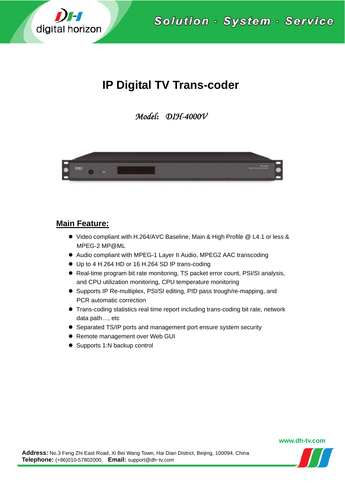

Solution · System · Service

# **IP Digital TV Trans-coder**

*Model*:*DIH-4000V* 



#### **Main Feature:**

- Video compliant with H.264/AVC Baseline, Main & High Profile @ L4.1 or less & MPEG-2 MP@ML
- Audio compliant with MPEG-1 Layer II Audio, MPEG2 AAC transcoding
- Up to 4 H.264 HD or 16 H.264 SD IP trans-coding
- Real-time program bit rate monitoring, TS packet error count, PSI/SI analysis, and CPU utilization monitoring, CPU temperature monitoring
- Supports IP Re-multiplex, PSI/SI editing, PID pass trough/re-mapping, and PCR automatic correction
- Trans-coding statistics real time report including trans-coding bit rate, network data path…, etc
- Separated TS/IP ports and management port ensure system security
- Remote management over Web GUI
- Supports 1:N backup control

**www.dh-tv.com**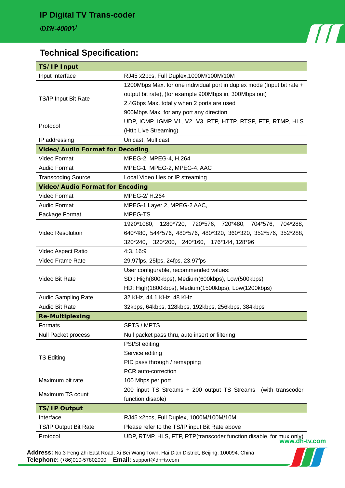

## **Technical Specification:**

| <b>TS/IP Input</b>                     |                                                                                                               |
|----------------------------------------|---------------------------------------------------------------------------------------------------------------|
| Input Interface                        | RJ45 x2pcs, Full Duplex, 1000M/100M/10M                                                                       |
| TS/IP Input Bit Rate                   | 1200Mbps Max. for one individual port in duplex mode (Input bit rate +                                        |
|                                        | output bit rate), (for example 900Mbps in, 300Mbps out)                                                       |
|                                        | 2.4Gbps Max. totally when 2 ports are used                                                                    |
|                                        | 900Mbps Max. for any port any direction                                                                       |
| Protocol                               | UDP, ICMP, IGMP V1, V2, V3, RTP, HTTP, RTSP, FTP, RTMP, HLS                                                   |
|                                        | (Http Live Streaming)                                                                                         |
| IP addressing                          | Unicast, Multicast                                                                                            |
| <b>Video/Audio Format for Decoding</b> |                                                                                                               |
| Video Format                           | MPEG-2, MPEG-4, H.264                                                                                         |
| Audio Format                           | MPEG-1, MPEG-2, MPEG-4, AAC                                                                                   |
| <b>Transcoding Source</b>              | Local Video files or IP streaming                                                                             |
| <b>Video/Audio Format for Encoding</b> |                                                                                                               |
| Video Format                           | MPEG-2/H.264                                                                                                  |
| Audio Format                           | MPEG-1 Layer 2, MPEG-2 AAC,                                                                                   |
| Package Format                         | MPEG-TS                                                                                                       |
| <b>Video Resolution</b>                | 1920*1080,<br>1280*720, 720*576, 720*480, 704*576,<br>704*288,                                                |
|                                        | 640*480, 544*576, 480*576, 480*320, 360*320, 352*576, 352*288,                                                |
|                                        | 320*240, 320*200, 240*160, 176*144, 128*96                                                                    |
| Video Aspect Ratio                     | 4:3, 16:9                                                                                                     |
| Video Frame Rate                       | 29.97fps, 25fps, 24fps, 23.97fps                                                                              |
| Video Bit Rate                         | User configurable, recommended values:                                                                        |
|                                        | SD: High(800kbps), Medium(600kbps), Low(500kbps)                                                              |
|                                        | HD: High(1800kbps), Medium(1500kbps), Low(1200kbps)                                                           |
| Audio Sampling Rate                    | 32 KHz, 44.1 KHz, 48 KHz                                                                                      |
| Audio Bit Rate                         | 32kbps, 64kbps, 128kbps, 192kbps, 256kbps, 384kbps                                                            |
| <b>Re-Multiplexing</b>                 |                                                                                                               |
| Formats                                | SPTS / MPTS                                                                                                   |
| <b>Null Packet process</b>             | Null packet pass thru, auto insert or filtering                                                               |
| <b>TS Editing</b>                      | PSI/SI editing                                                                                                |
|                                        | Service editing                                                                                               |
|                                        | PID pass through / remapping                                                                                  |
|                                        | PCR auto-correction                                                                                           |
| Maximum bit rate                       | 100 Mbps per port                                                                                             |
|                                        |                                                                                                               |
|                                        |                                                                                                               |
| Maximum TS count                       | 200 input TS Streams + 200 output TS Streams                                                                  |
|                                        | function disable)                                                                                             |
| <b>TS/IP Output</b>                    |                                                                                                               |
| Interface<br>TS/IP Output Bit Rate     | (with transcoder<br>RJ45 x2pcs, Full Duplex, 1000M/100M/10M<br>Please refer to the TS/IP input Bit Rate above |

**Address:** No.3 Feng Zhi East Road, Xi Bei Wang Town, Hai Dian District, Beijing, 100094, China **Telephone:** (+86)010-57802000, **Email:** support@dh-tv.com